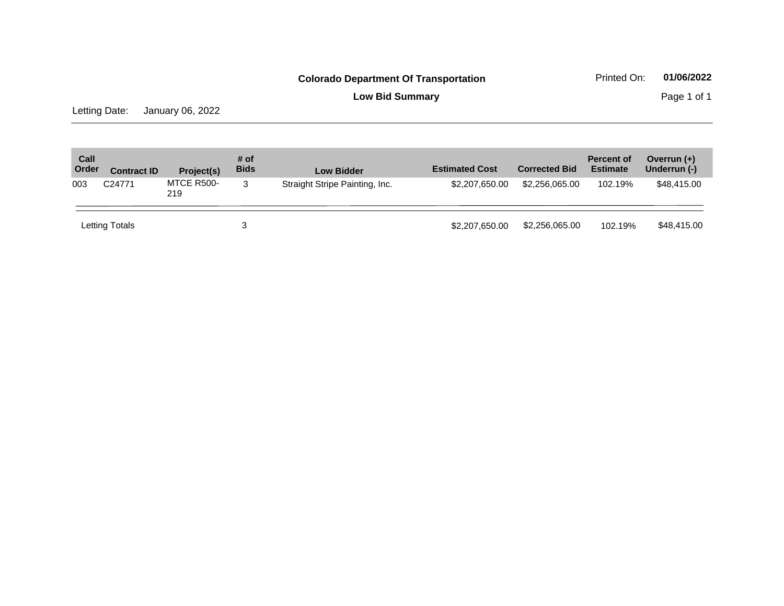## **Colorado Department Of Transportation** Printed On: 01/06/2022

**Low Bid Summary Page 1 of 1** 

Letting Date: January 06, 2022

| Call<br>Order | <b>Contract ID</b> | Project(s)        | # of<br><b>Bids</b> | <b>Low Bidder</b>              | <b>Estimated Cost</b> | <b>Corrected Bid</b> | <b>Percent of</b><br><b>Estimate</b> | Overrun $(+)$<br>Underrun (-) |
|---------------|--------------------|-------------------|---------------------|--------------------------------|-----------------------|----------------------|--------------------------------------|-------------------------------|
| 003           | C24771             | MTCE R500-<br>219 | 3                   | Straight Stripe Painting, Inc. | \$2,207,650.00        | \$2,256,065.00       | 102.19%                              | \$48,415.00                   |
|               | Letting Totals     |                   |                     |                                | \$2,207,650.00        | \$2,256,065.00       | 102.19%                              | \$48,415.00                   |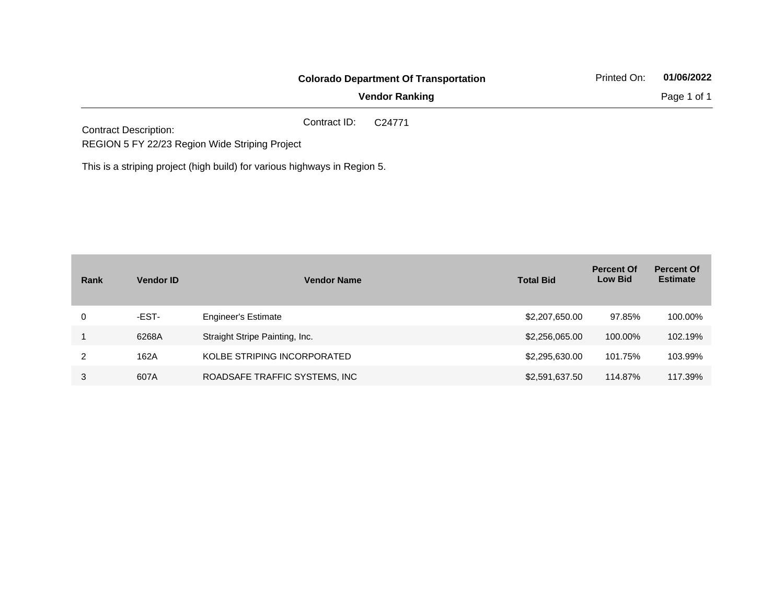|                                                                           |              | <b>Colorado Department Of Transportation</b> | Printed On: | 01/06/2022<br>Page 1 of 1 |
|---------------------------------------------------------------------------|--------------|----------------------------------------------|-------------|---------------------------|
|                                                                           |              | <b>Vendor Ranking</b>                        |             |                           |
| <b>Contract Description:</b>                                              | Contract ID: | C <sub>24771</sub>                           |             |                           |
| REGION 5 FY 22/23 Region Wide Striping Project                            |              |                                              |             |                           |
| This is a striping project (high build) for various highways in Region 5. |              |                                              |             |                           |

| Rank | <b>Vendor ID</b> | <b>Vendor Name</b>             | <b>Total Bid</b> | <b>Percent Of</b><br><b>Low Bid</b> | <b>Percent Of</b><br><b>Estimate</b> |
|------|------------------|--------------------------------|------------------|-------------------------------------|--------------------------------------|
| 0    | -EST-            | <b>Engineer's Estimate</b>     | \$2,207,650.00   | 97.85%                              | 100.00%                              |
|      | 6268A            | Straight Stripe Painting, Inc. | \$2,256,065.00   | 100.00%                             | 102.19%                              |
| 2    | 162A             | KOLBE STRIPING INCORPORATED    | \$2,295,630.00   | 101.75%                             | 103.99%                              |
| 3    | 607A             | ROADSAFE TRAFFIC SYSTEMS, INC  | \$2,591,637.50   | 114.87%                             | 117.39%                              |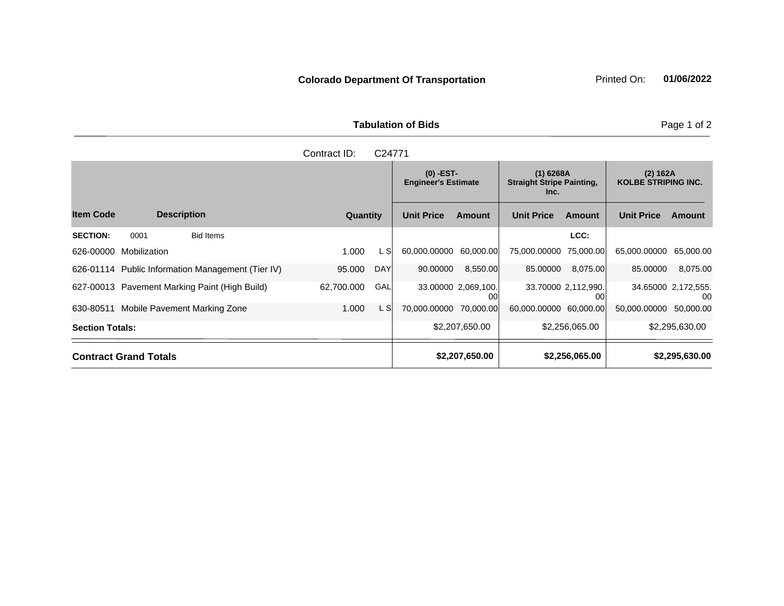**Tabulation of Bids Page 1 of 2** 

| C24771<br>Contract ID: |                              |                                                   |            |            |                                           |                           |                                                         |                           |                                        |                            |
|------------------------|------------------------------|---------------------------------------------------|------------|------------|-------------------------------------------|---------------------------|---------------------------------------------------------|---------------------------|----------------------------------------|----------------------------|
|                        |                              |                                                   |            |            | $(0)$ -EST-<br><b>Engineer's Estimate</b> |                           | $(1)$ 6268A<br><b>Straight Stripe Painting,</b><br>Inc. |                           | (2) 162A<br><b>KOLBE STRIPING INC.</b> |                            |
| <b>Item Code</b>       |                              | <b>Description</b>                                | Quantity   |            | <b>Unit Price</b>                         | <b>Amount</b>             | <b>Unit Price</b>                                       | Amount                    | <b>Unit Price</b>                      | Amount                     |
| <b>SECTION:</b>        | 0001                         | <b>Bid Items</b>                                  |            |            |                                           |                           |                                                         | LCC:                      |                                        |                            |
| 626-00000              | Mobilization                 |                                                   | 1.000      | L Sl       | 60.000.00000                              | 60,000.00                 | 75,000,00000                                            | 75,000.00                 | 65.000.00000                           | 65.000.00                  |
|                        |                              | 626-01114 Public Information Management (Tier IV) | 95,000     | <b>DAY</b> | 90.00000                                  | 8,550.00                  | 85.00000                                                | 8,075.00                  | 85.00000                               | 8,075.00                   |
|                        |                              | 627-00013 Pavement Marking Paint (High Build)     | 62,700.000 | GAL        |                                           | 33.00000 2.069,100.<br>00 |                                                         | 33.70000 2,112,990.<br>00 |                                        | 34.65000 2,172,555.<br>-00 |
| 630-80511              |                              | Mobile Pavement Marking Zone                      | 1.000      | L SI       | 70,000.00000 70,000.00                    |                           | 60.000.00000                                            | 60,000.00                 | 50.000.00000                           | 50,000.00                  |
| <b>Section Totals:</b> |                              |                                                   |            |            | \$2,207,650.00                            |                           | \$2,256,065.00                                          |                           | \$2,295,630.00                         |                            |
|                        | <b>Contract Grand Totals</b> |                                                   |            |            |                                           | \$2,207,650.00            |                                                         | \$2,256,065.00            |                                        | \$2,295,630.00             |

**Colorado Department Of Transportation Printed On:** 01/06/2022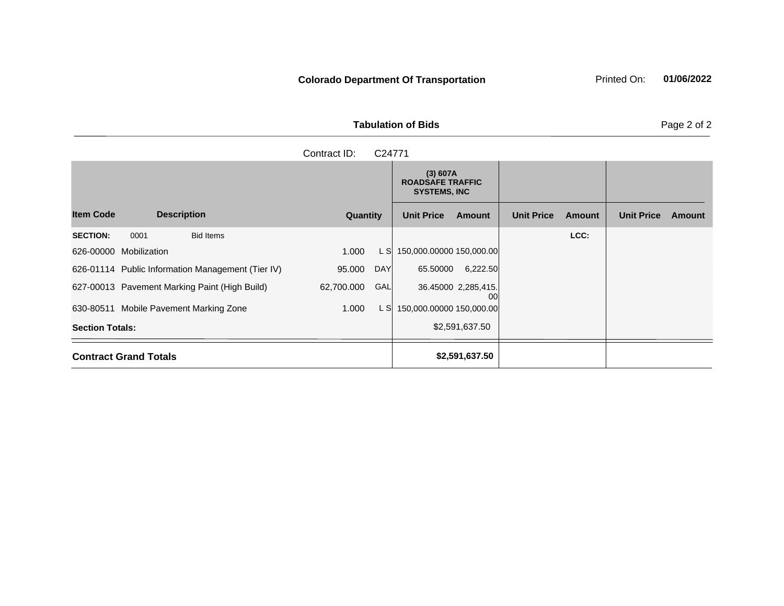**Colorado Department Of Transportation** Printed On: 01/06/2022

**Tabulation of Bids** Page 2 of 2

|                                                   | Contract ID:<br>C24771   |                                                            |                             |                             |
|---------------------------------------------------|--------------------------|------------------------------------------------------------|-----------------------------|-----------------------------|
|                                                   |                          | (3) 607A<br><b>ROADSAFE TRAFFIC</b><br><b>SYSTEMS, INC</b> |                             |                             |
| <b>Item Code</b><br><b>Description</b>            | Quantity                 | <b>Unit Price</b><br>Amount                                | <b>Unit Price</b><br>Amount | <b>Unit Price</b><br>Amount |
| <b>SECTION:</b><br>0001<br><b>Bid Items</b>       |                          |                                                            | LCC:                        |                             |
| 626-00000 Mobilization                            | 1.000<br>L SI            | 150,000.00000 150,000.00                                   |                             |                             |
| 626-01114 Public Information Management (Tier IV) | <b>DAY</b><br>95.000     | 65.50000<br>6,222.50                                       |                             |                             |
| 627-00013 Pavement Marking Paint (High Build)     | <b>GAL</b><br>62,700.000 | 36.45000 2,285,415.<br>00                                  |                             |                             |
| 630-80511 Mobile Pavement Marking Zone            | 1.000<br>L SI            | 150,000.00000 150,000.00                                   |                             |                             |
| <b>Section Totals:</b>                            |                          | \$2,591,637.50                                             |                             |                             |
| <b>Contract Grand Totals</b>                      |                          | \$2,591,637.50                                             |                             |                             |